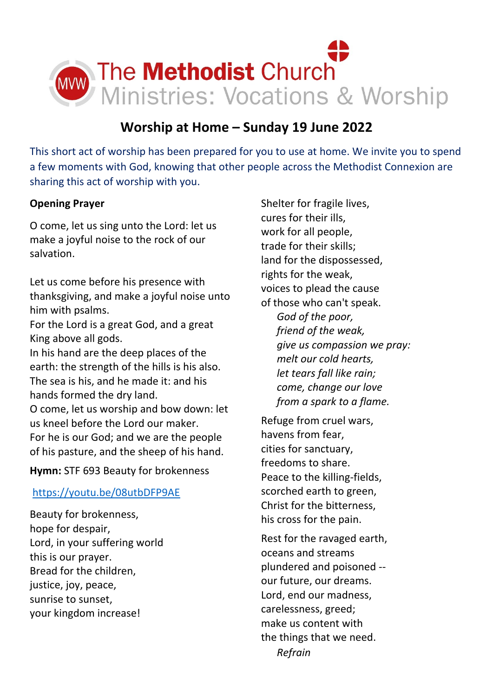

# **Worship at Home – Sunday 19 June 2022**

This short act of worship has been prepared for you to use at home. We invite you to spend a few moments with God, knowing that other people across the Methodist Connexion are sharing this act of worship with you.

# **Opening Prayer**

O come, let us sing unto the Lord: let us make a joyful noise to the rock of our salvation.

Let us come before his presence with thanksgiving, and make a joyful noise unto him with psalms. For the Lord is a great God, and a great King above all gods. In his hand are the deep places of the earth: the strength of the hills is his also. The sea is his, and he made it: and his hands formed the dry land. O come, let us worship and bow down: let us kneel before the Lord our maker. For he is our God; and we are the people of his pasture, and the sheep of his hand.

**Hymn:** STF 693 Beauty for brokenness

# <https://youtu.be/08utbDFP9AE>

Beauty for brokenness, hope for despair, Lord, in your suffering world this is our prayer. Bread for the children, justice, joy, peace, sunrise to sunset, your kingdom increase!

Shelter for fragile lives, cures for their ills, work for all people, trade for their skills; land for the dispossessed, rights for the weak, voices to plead the cause of those who can't speak.  *God of the poor, friend of the weak, give us compassion we pray: melt our cold hearts, let tears fall like rain; come, change our love from a spark to a flame.*

Refuge from cruel wars, havens from fear, cities for sanctuary, freedoms to share. Peace to the killing-fields, scorched earth to green, Christ for the bitterness, his cross for the pain.

Rest for the ravaged earth, oceans and streams plundered and poisoned - our future, our dreams. Lord, end our madness, carelessness, greed; make us content with the things that we need.  *Refrain*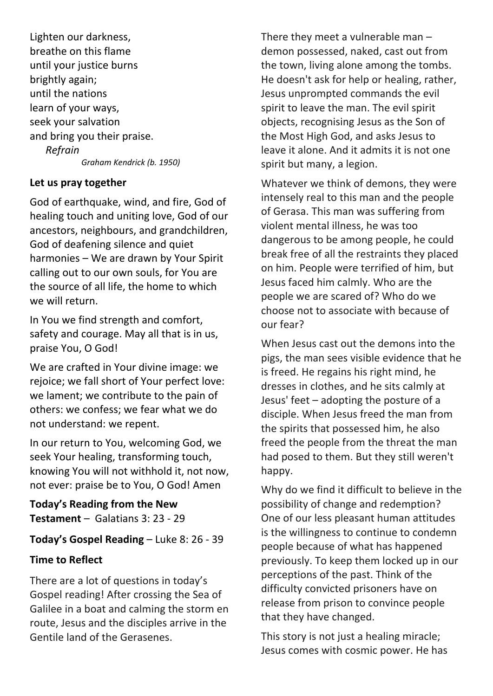Lighten our darkness, breathe on this flame until your justice burns brightly again; until the nations learn of your ways, seek your salvation and bring you their praise.  *Refrain Graham Kendrick (b. 1950)*

## **Let us pray together**

God of earthquake, wind, and fire, God of healing touch and uniting love, God of our ancestors, neighbours, and grandchildren, God of deafening silence and quiet harmonies – We are drawn by Your Spirit calling out to our own souls, for You are the source of all life, the home to which we will return.

In You we find strength and comfort, safety and courage. May all that is in us, praise You, O God!

We are crafted in Your divine image: we rejoice; we fall short of Your perfect love: we lament; we contribute to the pain of others: we confess; we fear what we do not understand: we repent.

In our return to You, welcoming God, we seek Your healing, transforming touch, knowing You will not withhold it, not now, not ever: praise be to You, O God! Amen

**Today's Reading from the New Testament** – Galatians 3: 23 - 29

**Today's Gospel Reading** – Luke 8: 26 - 39

# **Time to Reflect**

There are a lot of questions in today's Gospel reading! After crossing the Sea of Galilee in a boat and calming the storm en route, Jesus and the disciples arrive in the Gentile land of the Gerasenes.

There they meet a vulnerable man – demon possessed, naked, cast out from the town, living alone among the tombs. He doesn't ask for help or healing, rather, Jesus unprompted commands the evil spirit to leave the man. The evil spirit objects, recognising Jesus as the Son of the Most High God, and asks Jesus to leave it alone. And it admits it is not one spirit but many, a legion.

Whatever we think of demons, they were intensely real to this man and the people of Gerasa. This man was suffering from violent mental illness, he was too dangerous to be among people, he could break free of all the restraints they placed on him. People were terrified of him, but Jesus faced him calmly. Who are the people we are scared of? Who do we choose not to associate with because of our fear?

When Jesus cast out the demons into the pigs, the man sees visible evidence that he is freed. He regains his right mind, he dresses in clothes, and he sits calmly at Jesus' feet – adopting the posture of a disciple. When Jesus freed the man from the spirits that possessed him, he also freed the people from the threat the man had posed to them. But they still weren't happy.

Why do we find it difficult to believe in the possibility of change and redemption? One of our less pleasant human attitudes is the willingness to continue to condemn people because of what has happened previously. To keep them locked up in our perceptions of the past. Think of the difficulty convicted prisoners have on release from prison to convince people that they have changed.

This story is not just a healing miracle; Jesus comes with cosmic power. He has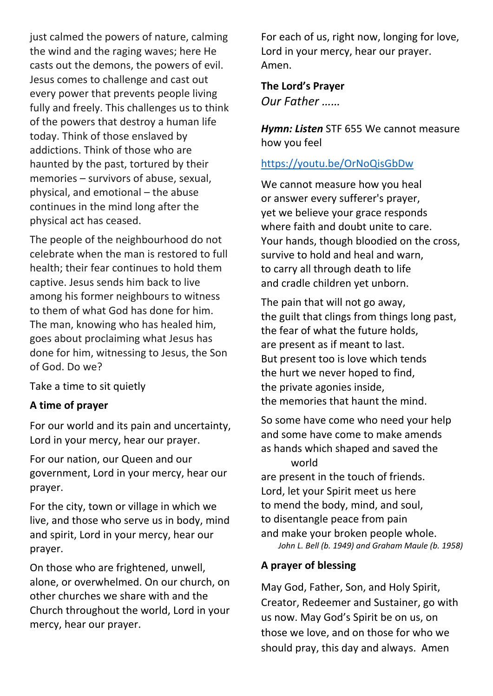just calmed the powers of nature, calming the wind and the raging waves; here He casts out the demons, the powers of evil. Jesus comes to challenge and cast out every power that prevents people living fully and freely. This challenges us to think of the powers that destroy a human life today. Think of those enslaved by addictions. Think of those who are haunted by the past, tortured by their memories – survivors of abuse, sexual, physical, and emotional – the abuse continues in the mind long after the physical act has ceased.

The people of the neighbourhood do not celebrate when the man is restored to full health; their fear continues to hold them captive. Jesus sends him back to live among his former neighbours to witness to them of what God has done for him. The man, knowing who has healed him, goes about proclaiming what Jesus has done for him, witnessing to Jesus, the Son of God. Do we?

Take a time to sit quietly

## **A time of prayer**

For our world and its pain and uncertainty, Lord in your mercy, hear our prayer.

For our nation, our Queen and our government, Lord in your mercy, hear our prayer.

For the city, town or village in which we live, and those who serve us in body, mind and spirit, Lord in your mercy, hear our prayer.

On those who are frightened, unwell, alone, or overwhelmed. On our church, on other churches we share with and the Church throughout the world, Lord in your mercy, hear our prayer.

For each of us, right now, longing for love, Lord in your mercy, hear our prayer. Amen.

## **The Lord's Prayer** *Our Father ……*

*Hymn: Listen* STF 655 We cannot measure how you feel

# <https://youtu.be/OrNoQisGbDw>

We cannot measure how you heal or answer every sufferer's prayer, yet we believe your grace responds where faith and doubt unite to care. Your hands, though bloodied on the cross, survive to hold and heal and warn, to carry all through death to life and cradle children yet unborn.

The pain that will not go away, the guilt that clings from things long past, the fear of what the future holds, are present as if meant to last. But present too is love which tends the hurt we never hoped to find, the private agonies inside, the memories that haunt the mind.

So some have come who need your help and some have come to make amends as hands which shaped and saved the world

are present in the touch of friends. Lord, let your Spirit meet us here to mend the body, mind, and soul, to disentangle peace from pain and make your broken people whole. *John L. Bell (b. 1949) and Graham Maule (b. 1958)*

## **A prayer of blessing**

May God, Father, Son, and Holy Spirit, Creator, Redeemer and Sustainer, go with us now. May God's Spirit be on us, on those we love, and on those for who we should pray, this day and always. Amen